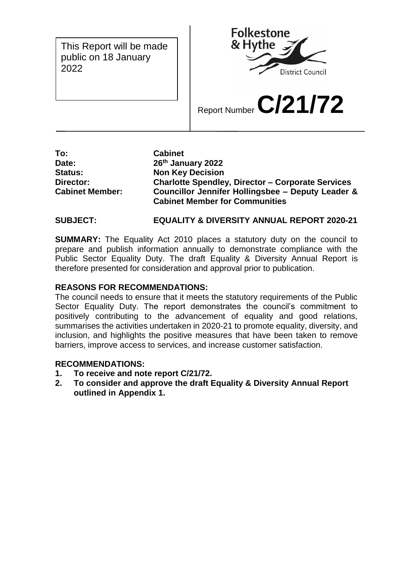This Report will be made public on 18 January 2022

 $\mathbf{L}$ 



Report Number **C/21/72**

**To: Cabinet Date: 26th January 2022 Status: Non Key Decision Director: Charlotte Spendley, Director – Corporate Services Cabinet Member: Councillor Jennifer Hollingsbee – Deputy Leader & Cabinet Member for Communities** 

## **SUBJECT: EQUALITY & DIVERSITY ANNUAL REPORT 2020-21**

**SUMMARY:** The Equality Act 2010 places a statutory duty on the council to prepare and publish information annually to demonstrate compliance with the Public Sector Equality Duty. The draft Equality & Diversity Annual Report is therefore presented for consideration and approval prior to publication.

#### **REASONS FOR RECOMMENDATIONS:**

The council needs to ensure that it meets the statutory requirements of the Public Sector Equality Duty. The report demonstrates the council's commitment to positively contributing to the advancement of equality and good relations, summarises the activities undertaken in 2020-21 to promote equality, diversity, and inclusion, and highlights the positive measures that have been taken to remove barriers, improve access to services, and increase customer satisfaction.

#### **RECOMMENDATIONS:**

- **1. To receive and note report C/21/72.**
- **2. To consider and approve the draft Equality & Diversity Annual Report outlined in Appendix 1.**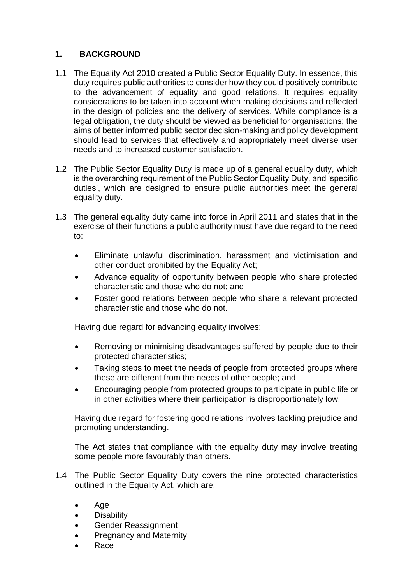## **1. BACKGROUND**

- 1.1 The Equality Act 2010 created a Public Sector Equality Duty. In essence, this duty requires public authorities to consider how they could positively contribute to the advancement of equality and good relations. It requires equality considerations to be taken into account when making decisions and reflected in the design of policies and the delivery of services. While compliance is a legal obligation, the duty should be viewed as beneficial for organisations; the aims of better informed public sector decision-making and policy development should lead to services that effectively and appropriately meet diverse user needs and to increased customer satisfaction.
- 1.2 The Public Sector Equality Duty is made up of a general equality duty, which is the overarching requirement of the Public Sector Equality Duty, and 'specific duties', which are designed to ensure public authorities meet the general equality duty.
- 1.3 The general equality duty came into force in April 2011 and states that in the exercise of their functions a public authority must have due regard to the need to:
	- Eliminate unlawful discrimination, harassment and victimisation and other conduct prohibited by the Equality Act;
	- Advance equality of opportunity between people who share protected characteristic and those who do not; and
	- Foster good relations between people who share a relevant protected characteristic and those who do not.

Having due regard for advancing equality involves:

- Removing or minimising disadvantages suffered by people due to their protected characteristics;
- Taking steps to meet the needs of people from protected groups where these are different from the needs of other people; and
- Encouraging people from protected groups to participate in public life or in other activities where their participation is disproportionately low.

Having due regard for fostering good relations involves tackling prejudice and promoting understanding.

The Act states that compliance with the equality duty may involve treating some people more favourably than others.

- 1.4 The Public Sector Equality Duty covers the nine protected characteristics outlined in the Equality Act, which are:
	- Age
	- **•** Disability
	- Gender Reassignment
	- Pregnancy and Maternity
	- Race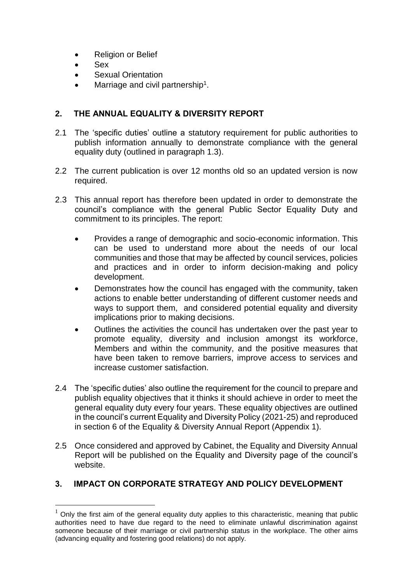- Religion or Belief
- Sex

1

- Sexual Orientation
- $\bullet$  Marriage and civil partnership<sup>1</sup>.

### **2. THE ANNUAL EQUALITY & DIVERSITY REPORT**

- 2.1 The 'specific duties' outline a statutory requirement for public authorities to publish information annually to demonstrate compliance with the general equality duty (outlined in paragraph 1.3).
- 2.2 The current publication is over 12 months old so an updated version is now required.
- 2.3 This annual report has therefore been updated in order to demonstrate the council's compliance with the general Public Sector Equality Duty and commitment to its principles. The report:
	- Provides a range of demographic and socio-economic information. This can be used to understand more about the needs of our local communities and those that may be affected by council services, policies and practices and in order to inform decision-making and policy development.
	- Demonstrates how the council has engaged with the community, taken actions to enable better understanding of different customer needs and ways to support them, and considered potential equality and diversity implications prior to making decisions.
	- Outlines the activities the council has undertaken over the past year to promote equality, diversity and inclusion amongst its workforce, Members and within the community, and the positive measures that have been taken to remove barriers, improve access to services and increase customer satisfaction.
- 2.4 The 'specific duties' also outline the requirement for the council to prepare and publish equality objectives that it thinks it should achieve in order to meet the general equality duty every four years. These equality objectives are outlined in the council's current Equality and Diversity Policy (2021-25) and reproduced in section 6 of the Equality & Diversity Annual Report (Appendix 1).
- 2.5 Once considered and approved by Cabinet, the Equality and Diversity Annual Report will be published on the Equality and Diversity page of the council's website.

### **3. IMPACT ON CORPORATE STRATEGY AND POLICY DEVELOPMENT**

 $1$  Only the first aim of the general equality duty applies to this characteristic, meaning that public authorities need to have due regard to the need to eliminate unlawful discrimination against someone because of their marriage or civil partnership status in the workplace. The other aims (advancing equality and fostering good relations) do not apply.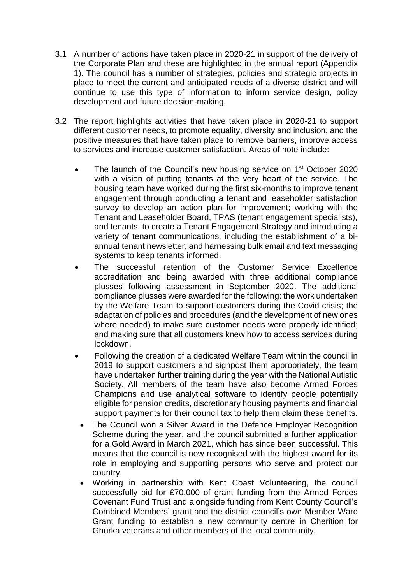- 3.1 A number of actions have taken place in 2020-21 in support of the delivery of the Corporate Plan and these are highlighted in the annual report (Appendix 1). The council has a number of strategies, policies and strategic projects in place to meet the current and anticipated needs of a diverse district and will continue to use this type of information to inform service design, policy development and future decision-making.
- 3.2 The report highlights activities that have taken place in 2020-21 to support different customer needs, to promote equality, diversity and inclusion, and the positive measures that have taken place to remove barriers, improve access to services and increase customer satisfaction. Areas of note include:
	- The launch of the Council's new housing service on  $1<sup>st</sup>$  October 2020 with a vision of putting tenants at the very heart of the service. The housing team have worked during the first six-months to improve tenant engagement through conducting a tenant and leaseholder satisfaction survey to develop an action plan for improvement; working with the Tenant and Leaseholder Board, TPAS (tenant engagement specialists), and tenants, to create a Tenant Engagement Strategy and introducing a variety of tenant communications, including the establishment of a biannual tenant newsletter, and harnessing bulk email and text messaging systems to keep tenants informed.
	- The successful retention of the Customer Service Excellence accreditation and being awarded with three additional compliance plusses following assessment in September 2020. The additional compliance plusses were awarded for the following: the work undertaken by the Welfare Team to support customers during the Covid crisis; the adaptation of policies and procedures (and the development of new ones where needed) to make sure customer needs were properly identified; and making sure that all customers knew how to access services during lockdown.
	- Following the creation of a dedicated Welfare Team within the council in 2019 to support customers and signpost them appropriately, the team have undertaken further training during the year with the National Autistic Society. All members of the team have also become Armed Forces Champions and use analytical software to identify people potentially eligible for pension credits, discretionary housing payments and financial support payments for their council tax to help them claim these benefits.
	- The Council won a Silver Award in the Defence Employer Recognition Scheme during the year, and the council submitted a further application for a Gold Award in March 2021, which has since been successful. This means that the council is now recognised with the highest award for its role in employing and supporting persons who serve and protect our country.
	- Working in partnership with Kent Coast Volunteering, the council successfully bid for £70,000 of grant funding from the Armed Forces Covenant Fund Trust and alongside funding from Kent County Council's Combined Members' grant and the district council's own Member Ward Grant funding to establish a new community centre in Cherition for Ghurka veterans and other members of the local community.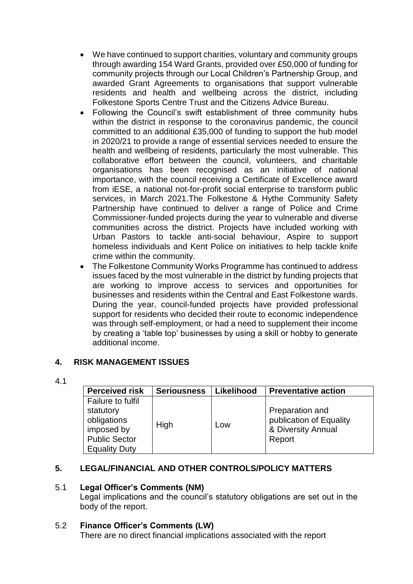- We have continued to support charities, voluntary and community groups through awarding 154 Ward Grants, provided over £50,000 of funding for community projects through our Local Children's Partnership Group, and awarded Grant Agreements to organisations that support vulnerable residents and health and wellbeing across the district, including Folkestone Sports Centre Trust and the Citizens Advice Bureau.
- Following the Council's swift establishment of three community hubs within the district in response to the coronavirus pandemic, the council committed to an additional £35,000 of funding to support the hub model in 2020/21 to provide a range of essential services needed to ensure the health and wellbeing of residents, particularly the most vulnerable. This collaborative effort between the council, volunteers, and charitable organisations has been recognised as an initiative of national importance, with the council receiving a Certificate of Excellence award from iESE, a national not-for-profit social enterprise to transform public services, in March 2021.The Folkestone & Hythe Community Safety Partnership have continued to deliver a range of Police and Crime Commissioner-funded projects during the year to vulnerable and diverse communities across the district. Projects have included working with Urban Pastors to tackle anti-social behaviour, Aspire to support homeless individuals and Kent Police on initiatives to help tackle knife crime within the community.
- The Folkestone Community Works Programme has continued to address issues faced by the most vulnerable in the district by funding projects that are working to improve access to services and opportunities for businesses and residents within the Central and East Folkestone wards. During the year, council-funded projects have provided professional support for residents who decided their route to economic independence was through self-employment, or had a need to supplement their income by creating a 'table top' businesses by using a skill or hobby to generate additional income.

### **4. RISK MANAGEMENT ISSUES**

4.1

| <b>Perceived risk</b>                                                                                       | <b>Seriousness</b> | Likelihood | <b>Preventative action</b>                                                 |
|-------------------------------------------------------------------------------------------------------------|--------------------|------------|----------------------------------------------------------------------------|
| Failure to fulfil<br>statutory<br>obligations<br>imposed by<br><b>Public Sector</b><br><b>Equality Duty</b> | <b>High</b>        | Low        | Preparation and<br>publication of Equality<br>& Diversity Annual<br>Report |

# **5. LEGAL/FINANCIAL AND OTHER CONTROLS/POLICY MATTERS**

### 5.1 **Legal Officer's Comments (NM)**

Legal implications and the council's statutory obligations are set out in the body of the report.

### 5.2 **Finance Officer's Comments (LW)**

There are no direct financial implications associated with the report